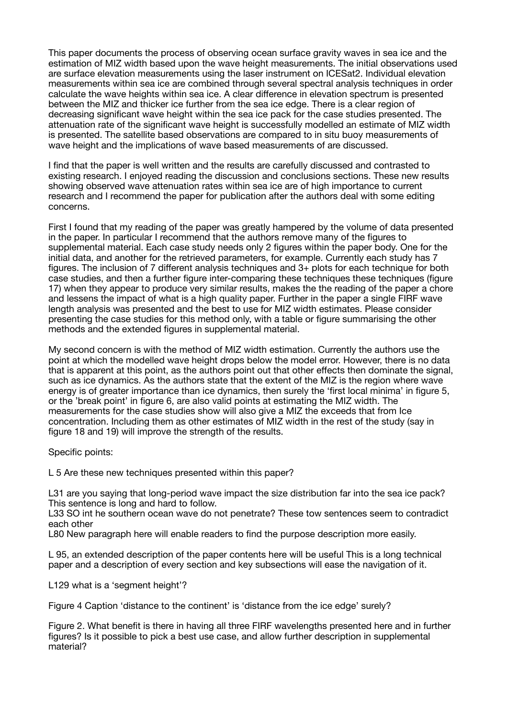This paper documents the process of observing ocean surface gravity waves in sea ice and the estimation of MIZ width based upon the wave height measurements. The initial observations used are surface elevation measurements using the laser instrument on ICESat2. Individual elevation measurements within sea ice are combined through several spectral analysis techniques in order calculate the wave heights within sea ice. A clear difference in elevation spectrum is presented between the MIZ and thicker ice further from the sea ice edge. There is a clear region of decreasing significant wave height within the sea ice pack for the case studies presented. The attenuation rate of the significant wave height is successfully modelled an estimate of MIZ width is presented. The satellite based observations are compared to in situ buoy measurements of wave height and the implications of wave based measurements of are discussed.

I find that the paper is well written and the results are carefully discussed and contrasted to existing research. I enjoyed reading the discussion and conclusions sections. These new results showing observed wave attenuation rates within sea ice are of high importance to current research and I recommend the paper for publication after the authors deal with some editing concerns.

First I found that my reading of the paper was greatly hampered by the volume of data presented in the paper. In particular I recommend that the authors remove many of the figures to supplemental material. Each case study needs only 2 figures within the paper body. One for the initial data, and another for the retrieved parameters, for example. Currently each study has 7 figures. The inclusion of 7 different analysis techniques and 3+ plots for each technique for both case studies, and then a further figure inter-comparing these techniques these techniques (figure 17) when they appear to produce very similar results, makes the the reading of the paper a chore and lessens the impact of what is a high quality paper. Further in the paper a single FIRF wave length analysis was presented and the best to use for MIZ width estimates. Please consider presenting the case studies for this method only, with a table or figure summarising the other methods and the extended figures in supplemental material.

My second concern is with the method of MIZ width estimation. Currently the authors use the point at which the modelled wave height drops below the model error. However, there is no data that is apparent at this point, as the authors point out that other effects then dominate the signal, such as ice dynamics. As the authors state that the extent of the MIZ is the region where wave energy is of greater importance than ice dynamics, then surely the 'first local minima' in figure 5, or the 'break point' in figure 6, are also valid points at estimating the MIZ width. The measurements for the case studies show will also give a MIZ the exceeds that from Ice concentration. Including them as other estimates of MIZ width in the rest of the study (say in figure 18 and 19) will improve the strength of the results.

Specific points:

L 5 Are these new techniques presented within this paper?

L31 are you saying that long-period waye impact the size distribution far into the sea ice pack? This sentence is long and hard to follow.

L33 SO int he southern ocean wave do not penetrate? These tow sentences seem to contradict each other

L80 New paragraph here will enable readers to find the purpose description more easily.

L 95, an extended description of the paper contents here will be useful This is a long technical paper and a description of every section and key subsections will ease the navigation of it.

L129 what is a 'segment height'?

Figure 4 Caption 'distance to the continent' is 'distance from the ice edge' surely?

Figure 2. What benefit is there in having all three FIRF wavelengths presented here and in further figures? Is it possible to pick a best use case, and allow further description in supplemental material?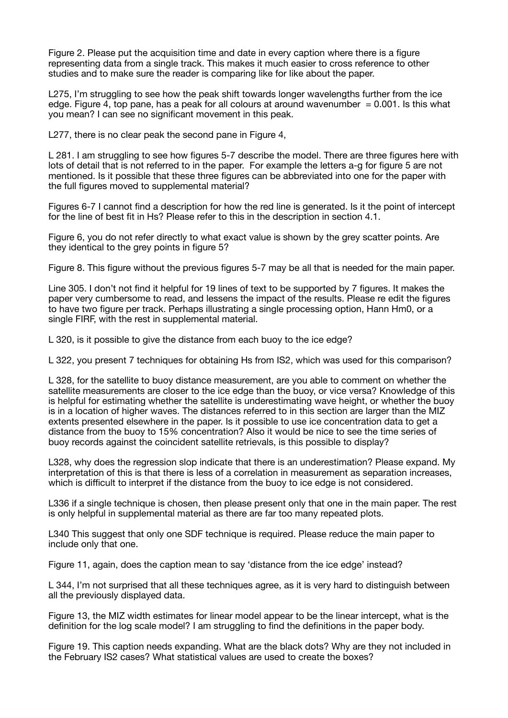Figure 2. Please put the acquisition time and date in every caption where there is a figure representing data from a single track. This makes it much easier to cross reference to other studies and to make sure the reader is comparing like for like about the paper.

L275, I'm struggling to see how the peak shift towards longer wavelengths further from the ice edge. Figure 4, top pane, has a peak for all colours at around wavenumber  $= 0.001$ . Is this what you mean? I can see no significant movement in this peak.

L277, there is no clear peak the second pane in Figure 4,

L 281. I am struggling to see how figures 5-7 describe the model. There are three figures here with lots of detail that is not referred to in the paper. For example the letters a-g for figure 5 are not mentioned. Is it possible that these three figures can be abbreviated into one for the paper with the full figures moved to supplemental material?

Figures 6-7 I cannot find a description for how the red line is generated. Is it the point of intercept for the line of best fit in Hs? Please refer to this in the description in section 4.1.

Figure 6, you do not refer directly to what exact value is shown by the grey scatter points. Are they identical to the grey points in figure 5?

Figure 8. This figure without the previous figures 5-7 may be all that is needed for the main paper.

Line 305. I don't not find it helpful for 19 lines of text to be supported by 7 figures. It makes the paper very cumbersome to read, and lessens the impact of the results. Please re edit the figures to have two figure per track. Perhaps illustrating a single processing option, Hann Hm0, or a single FIRF, with the rest in supplemental material.

L 320, is it possible to give the distance from each buoy to the ice edge?

L 322, you present 7 techniques for obtaining Hs from IS2, which was used for this comparison?

L 328, for the satellite to buoy distance measurement, are you able to comment on whether the satellite measurements are closer to the ice edge than the buoy, or vice versa? Knowledge of this is helpful for estimating whether the satellite is underestimating wave height, or whether the buoy is in a location of higher waves. The distances referred to in this section are larger than the MIZ extents presented elsewhere in the paper. Is it possible to use ice concentration data to get a distance from the buoy to 15% concentration? Also it would be nice to see the time series of buoy records against the coincident satellite retrievals, is this possible to display?

L328, why does the regression slop indicate that there is an underestimation? Please expand. My interpretation of this is that there is less of a correlation in measurement as separation increases, which is difficult to interpret if the distance from the buoy to ice edge is not considered.

L336 if a single technique is chosen, then please present only that one in the main paper. The rest is only helpful in supplemental material as there are far too many repeated plots.

L340 This suggest that only one SDF technique is required. Please reduce the main paper to include only that one.

Figure 11, again, does the caption mean to say 'distance from the ice edge' instead?

L 344, I'm not surprised that all these techniques agree, as it is very hard to distinguish between all the previously displayed data.

Figure 13, the MIZ width estimates for linear model appear to be the linear intercept, what is the definition for the log scale model? I am struggling to find the definitions in the paper body.

Figure 19. This caption needs expanding. What are the black dots? Why are they not included in the February IS2 cases? What statistical values are used to create the boxes?